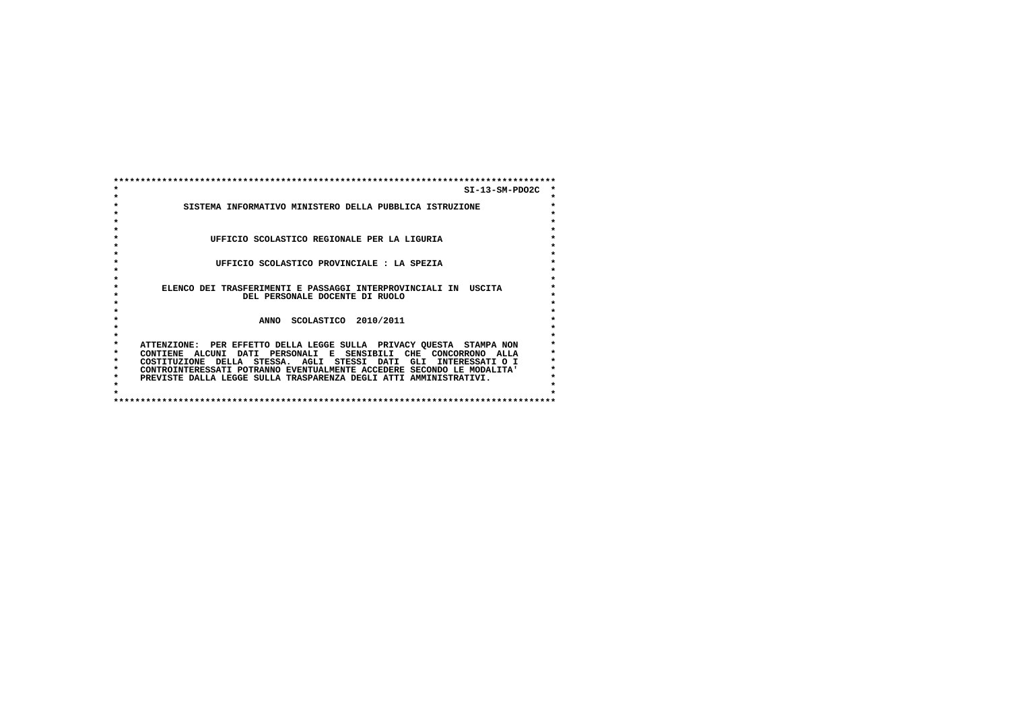|         | $SI-13-SM-PDO2C$                                                       |         |
|---------|------------------------------------------------------------------------|---------|
|         |                                                                        | $\star$ |
|         | SISTEMA INFORMATIVO MINISTERO DELLA PUBBLICA ISTRUZIONE                | $\star$ |
|         |                                                                        | $\star$ |
|         |                                                                        | ÷       |
|         |                                                                        |         |
|         | UFFICIO SCOLASTICO REGIONALE PER LA LIGURIA                            | $\star$ |
|         |                                                                        | $\star$ |
|         |                                                                        | $\star$ |
|         | UFFICIO SCOLASTICO PROVINCIALE : LA SPEZIA                             | $\star$ |
|         |                                                                        | $\star$ |
|         |                                                                        | $\star$ |
| $\star$ | ELENCO DEI TRASFERIMENTI E PASSAGGI INTERPROVINCIALI IN USCITA         | $\star$ |
|         | DEL PERSONALE DOCENTE DI RUOLO                                         | ÷       |
|         |                                                                        | ÷       |
|         |                                                                        | $\star$ |
|         | SCOLASTICO 2010/2011<br><b>ANNO</b>                                    | $\star$ |
|         |                                                                        |         |
|         |                                                                        | $\star$ |
| $\star$ | ATTENZIONE: PER EFFETTO DELLA LEGGE SULLA PRIVACY QUESTA STAMPA NON    | $\star$ |
| *       | CONTIENE ALCUNI DATI PERSONALI E SENSIBILI CHE CONCORRONO ALLA         |         |
| *       | COSTITUZIONE DELLA STESSA. AGLI STESSI DATI GLI INTERESSATI O I        |         |
| *       | CONTROINTERESSATI POTRANNO EVENTUALMENTE ACCEDERE SECONDO LE MODALITA' |         |
| *       | PREVISTE DALLA LEGGE SULLA TRASPARENZA DEGLI ATTI AMMINISTRATIVI.      |         |
| $\star$ |                                                                        |         |
|         |                                                                        |         |
|         |                                                                        |         |
|         |                                                                        |         |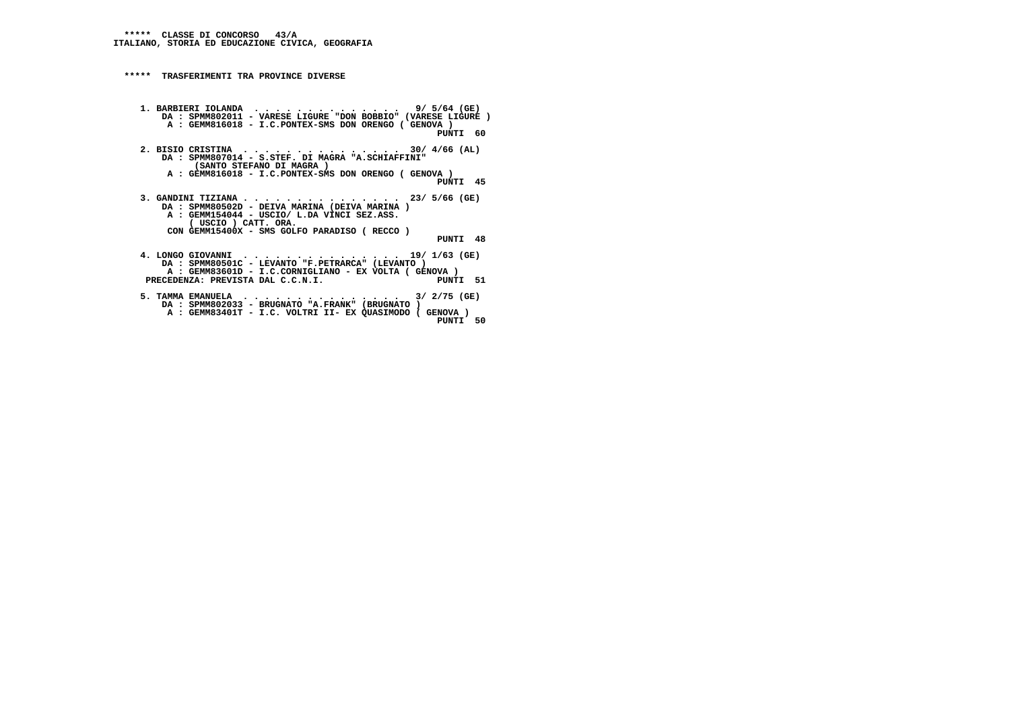**\*\*\*\*\* TRASFERIMENTI TRA PROVINCE DIVERSE**

- **1. BARBIERI IOLANDA . . . . . . . . . . . . . . 9/ 5/64 (GE) DA : SPMM802011 VARESE LIGURE "DON BOBBIO" (VARESE LIGURE ) A : GEMM816018 - I.C.PONTEX-SMS DON ORENGO ( GENOVA ) PUNTI 60**
- **2. BISIO CRISTINA . . . . . . . . . . . . . . . 30/ 4/66 (AL) DA : SPMM807014 - S.STEF. DI MAGRA "A.SCHIAFFINI" (SANTO STEFANO DI MAGRA ) A : GEMM816018 - I.C.PONTEX-SMS DON ORENGO ( GENOVA )**
- **PUNTI 45**
- **3. GANDINI TIZIANA . . . . . . . . . . . . . . . 23/ 5/66 (GE) DA : SPMM80502D DEIVA MARINA (DEIVA MARINA ) A : GEMM154044 - USCIO/ L.DA VINCI SEZ.ASS. ( USCIO ) CATT. ORA. CON GEMM15400X - SMS GOLFO PARADISO ( RECCO )**
	- **PUNTI 48**
- **4. LONGO GIOVANNI . . . . . . . . . . . . . . . 19/ 1/63 (GE) DA : SPMM80501C - LEVANTO "F.PETRARCA" (LEVANTO ) A : GEMM83601D - I.C.CORNIGLIANO - EX VOLTA ( GENOVA )**PUNTI 51 PRECEDENZA: PREVISTA DAL C.C.N.I.
- **5. TAMMA EMANUELA . . . . . . . . . . . . . . . 3/ 2/75 (GE) DA : SPMM802033 BRUGNATO "A.FRANK" (BRUGNATO ) A : GEMM83401T - I.C. VOLTRI II- EX QUASIMODO ( GENOVA ) PUNTI 50**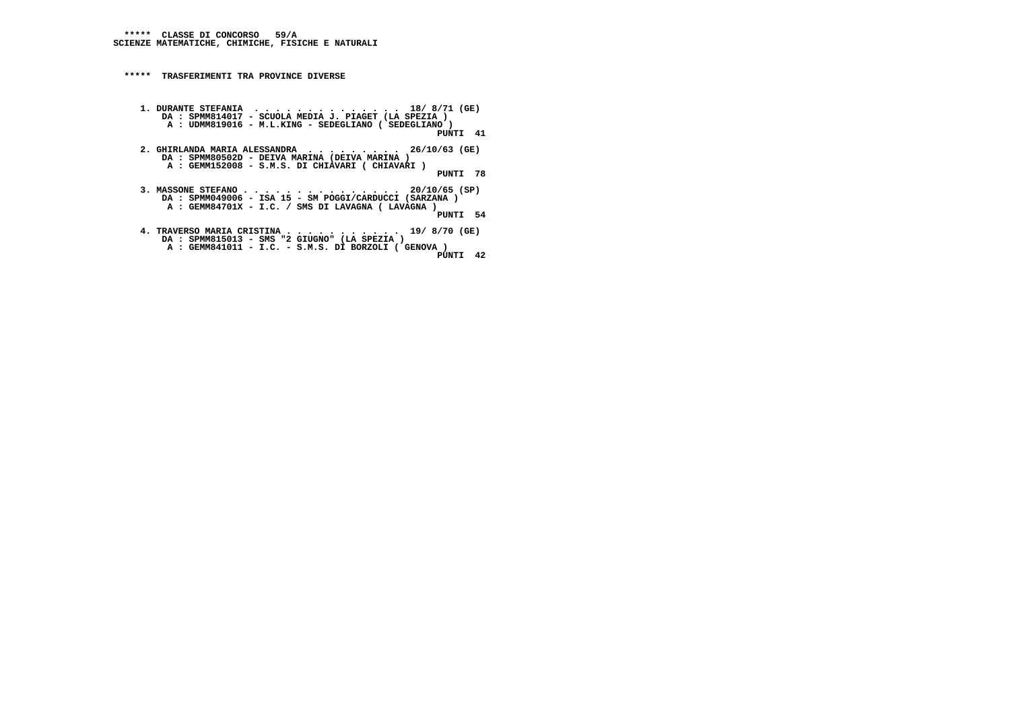**\*\*\*\*\* TRASFERIMENTI TRA PROVINCE DIVERSE**

```
 1. DURANTE STEFANIA . . . . . . . . . . . . . . 18/ 8/71 (GE)
DA : SPMM814017 - SCUOLA MEDIA J. PIAGET (LA SPEZIA )
A : UDMM819016 - M.L.KING - SEDEGLIANO ( SEDEGLIANO )
PUNTI 41 2. GHIRLANDA MARIA ALESSANDRA . . . . . . . . . 26/10/63 (GE) DA : SPMM80502D - DEIVA MARINA (DEIVA MARINA )
A : GEMM152008 - S.M.S. DI CHIAVARI ( CHIAVARI ) PUNTI 78 3. MASSONE STEFANO . . . . . . . . . . . . . . . 20/10/65 (SP)
DA : SPMM049006 - ISA 15 - SM POGGI/CARDUCCI (SARZANA )
A : GEMM84701X - I.C. / SMS DI LAVAGNA ( LAVAGNA )
```
 **PUNTI 54**

```

4. TRAVERSO MARIA CRISTINA . . . . . . . . . . . 19/ 8/70 (GE)
DA : SPMM815013 - SMS "2 GIUGNO" (LA SPEZIA )
A : GEMM841011 - I.C. - S.M.S. DI BORZOLI ( GENOVA )
PUNTI 42
```